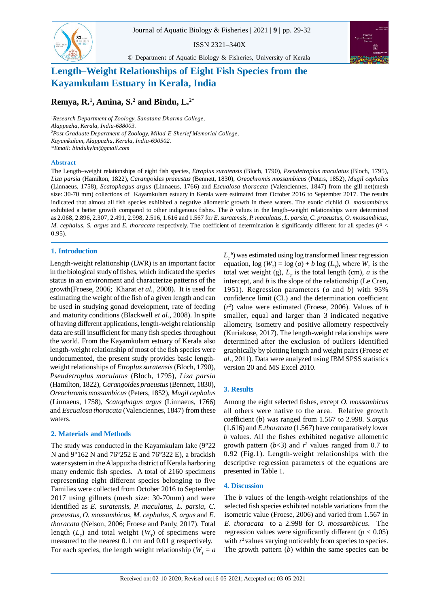ISSN 2321–340X

© Department of Aquatic Biology & Fisheries, University of Kerala



# **Length–Weight Relationships of Eight Fish Species from the Kayamkulam Estuary in Kerala, India**

# **Remya, R.<sup>1</sup> , Amina, S.<sup>2</sup> and Bindu, L.2\***

*<sup>1</sup>Research Department of Zoology, Sanatana Dharma College, Alappuzha, Kerala, India-688003. <sup>2</sup>Post Graduate Department of Zoology, Milad-E-Sherief Memorial College, Kayamkulam, Alappuzha, Kerala, India-690502. \*Email: bindukylm@gmail.com*

#### **Abstract**

83

The Length–weight relationships of eight fish species, *Etroplus suratensis* (Bloch, 1790), *Pseudetroplus maculatus* (Bloch, 1795), *Liza parsia* (Hamilton, 1822), *Carangoides praeustus* (Bennett, 1830), *Oreochromis mossambicus* (Peters, 1852), *Mugil cephalus* (Linnaeus, 1758), *Scatophagus argus* (Linnaeus, 1766) and *Escualosa thoracata* (Valenciennes, 1847) from the gill net(mesh size: 30-70 mm) collections of Kayamkulam estuary in Kerala were estimated from October 2016 to September 2017. The results indicated that almost all fish species exhibited a negative allometric growth in these waters. The exotic cichlid *O. mossambicus* exhibited a better growth compared to other indigenous fishes. The *b* values in the length–weight relationships were determined as 2.068, 2.896, 2.307, 2.491, 2.998, 2.516, 1.616 and 1.567 for *E. suratensis, P. maculatus*, *L. parsia, C. praeustus, O. mossambicus, M. cephalus, S. argus* and *E. thoracata* respectively. The coefficient of determination is significantly different for all species ( $r<sup>2</sup>$  < 0.95).

## **1. Introduction**

Length-weight relationship (LWR) is an important factor in the biological study of fishes, which indicated the species status in an environment and characterize patterns of the growth(Froese, 2006; Kharat *et al.,* 2008). It is used for estimating the weight of the fish of a given length and can be used in studying gonad development, rate of feeding and maturity conditions (Blackwell *et al.,* 2008). In spite of having different applications, length-weight relationship data are still insufficient for many fish species throughout the world. From the Kayamkulam estuary of Kerala also length-weight relationship of most of the fish species were undocumented, the present study provides basic lengthweight relationships of *Etroplus suratensis* (Bloch, 1790), *Pseudetroplus maculatus* (Bloch, 1795), *Liza parsia* (Hamilton, 1822), *Carangoides praeustus* (Bennett, 1830), *Oreochromis mossambicus* (Peters, 1852), *Mugil cephalus* (Linnaeus, 1758), *Scatophagus argus* (Linnaeus, 1766) and *Escualosa thoracata* (Valenciennes, 1847) from these waters.

## **2. Materials and Methods**

The study was conducted in the Kayamkulam lake (9°22 N and 9°162 N and 76°252 E and 76°322 E), a brackish water system in the Alappuzha district of Kerala harboring many endemic fish species. A total of 2160 specimens representing eight different species belonging to five Families were collected from October 2016 to September 2017 using gillnets (mesh size: 30-70mm) and were identified as *E. suratensis*, *P. maculatus*, *L. parsia*, *C. praeustus*, *O. mossambicus*, *M. cephalus*, *S. argus* and *E. thoracata* (Nelson, 2006; Froese and Pauly, 2017). Total length  $(L<sub>T</sub>)$  and total weight  $(W<sub>T</sub>)$  of specimens were measured to the nearest 0.1 cm and 0.01 g respectively. For each species, the length weight relationship ( $W_T = a$ 

 $L_{T}^{\ \ b})$  was estimated using log transformed linear regression equation,  $\log(W_T) = \log(a) + b \log(L_T)$ , where  $W_T$  is the total wet weight (g),  $L<sub>T</sub>$  is the total length (cm), *a* is the intercept, and *b* is the slope of the relationship (Le Cren, 1951). Regression parameters (*a* and *b*) with 95% confidence limit (CL) and the determination coefficient  $(r^2)$  value were estimated (Froese, 2006). Values of *b* smaller, equal and larger than 3 indicated negative allometry, isometry and positive allometry respectively (Kuriakose, 2017). The length-weight relationships were determined after the exclusion of outliers identified graphically by plotting length and weight pairs (Froese *et al*., 2011). Data were analyzed using IBM SPSS statistics version 20 and MS Excel 2010.

## **3. Results**

Among the eight selected fishes, except *O. mossambicus* all others were native to the area. Relative growth coefficient (*b*) was ranged from 1.567 to 2.998. *S.argus* (1.616) and *E.thoracata* (1.567) have comparatively lower *b* values. All the fishes exhibited negative allometric growth pattern  $(b<3)$  and  $r<sup>2</sup>$  values ranged from 0.7 to 0.92 (Fig.1). Length-weight relationships with the descriptive regression parameters of the equations are presented in Table 1.

## **4. Discussion**

The *b* values of the length-weight relationships of the selected fish species exhibited notable variations from the isometric value (Froese, 2006) and varied from 1.567 in *E. thoracata* to a 2.998 for *O. mossambicus.* The regression values were significantly different  $(p < 0.05)$ with  $r<sup>2</sup>$  values varying noticeably from species to species. The growth pattern (*b*) within the same species can be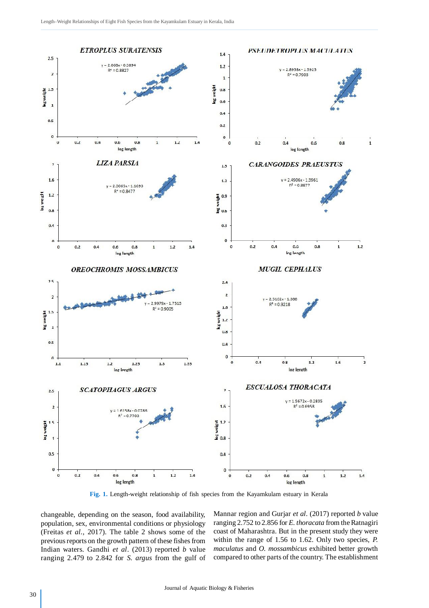

**Fig. 1.** Length-weight relationship of fish species from the Kayamkulam estuary in Kerala

changeable, depending on the season, food availability, population, sex, environmental conditions or physiology (Freitas *et al.*, 2017). The table 2 shows some of the previous reports on the growth pattern of these fishes from Indian waters. Gandhi *et al*. (2013) reported *b* value ranging 2.479 to 2.842 for *S. argus* from the gulf of Mannar region and Gurjar *et al*. (2017) reported *b* value ranging 2.752 to 2.856 for *E. thoracata* from the Ratnagiri coast of Maharashtra. But in the present study they were within the range of 1.56 to 1.62. Only two species, *P. maculatus* and *O. mossambicus* exhibited better growth compared to other parts of the country. The establishment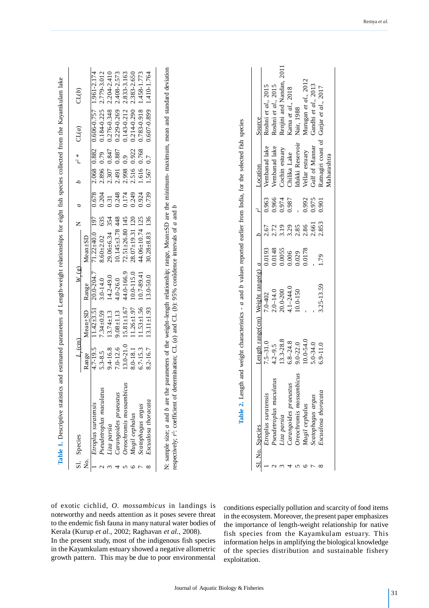| Table 1. Descriptive statistics | Species                                                                                                                                                                                                                                                         |                  |                  |                 |                   | z                     | a     | d                  | $\mathbf x$<br>L | and estimated parameters of Length-weight relationships for eight fish species collected from the Kayamkulam lake<br>CL(a) | CL(b)           |
|---------------------------------|-----------------------------------------------------------------------------------------------------------------------------------------------------------------------------------------------------------------------------------------------------------------|------------------|------------------|-----------------|-------------------|-----------------------|-------|--------------------|------------------|----------------------------------------------------------------------------------------------------------------------------|-----------------|
| Σ.                              |                                                                                                                                                                                                                                                                 | Range            | Mean+SD          | Range           | $Mean + SD$       |                       |       |                    |                  |                                                                                                                            |                 |
|                                 | Etroplus suratensis                                                                                                                                                                                                                                             | $4.7 - 19.5$     | $11.42 \pm 3.5$  | 20.0-204.7      | $71.22 + 40.0$    | 197                   | 0.678 | 2.068              | 0.882            | $0.606 - 0.757$                                                                                                            | 1.961-2.174     |
|                                 | Pseudetroplus maculatus                                                                                                                                                                                                                                         | $5.3 - 8.5$      | $7.34 \pm 0.59$  | 3.0-14.0        | $8.60 + 2.02$     | 635                   | 0.204 | 2.896              | 0.79             | 0.184-0.225                                                                                                                | 2.779-3.012     |
|                                 | Liza parsia                                                                                                                                                                                                                                                     | 9.4-16.8         | $13.74 \pm 1.3$  | $14.2 - 49.0$   | $29.06 + 6.34$    | 354                   | 0.31  | 2.307              | 0.847            | 0.276-0.348                                                                                                                | 2.204-2.410     |
|                                 | Carangoides praeustus                                                                                                                                                                                                                                           | 7.0-12.6         | $9.08 \pm 1.13$  | 4.0-26.0        | $10.145 \pm 3.78$ | 448                   | 0.248 | 2.491              | 0.887            | 0.229-0.269                                                                                                                | 2.408-2.573     |
|                                 | $\mathcal{L}$<br>Oreochromis mossambici                                                                                                                                                                                                                         | $13.0 - 21.0$    | $5.81 \pm 1.67$  | 44.0-166.9      |                   | $72.51 \pm 26.80$ 145 | 0.174 | 2.998              | 6.0              | 0.143-0.212                                                                                                                | 2.833-3.163     |
| O                               | Mugil cephalus                                                                                                                                                                                                                                                  | 8.0-18.1         | $1.26 \pm 1.97$  | $10.0 - 115.0$  |                   | $28.07 \pm 19.31$ 120 | 0.249 | 2.516              | 0.922            | 0.214-0.290                                                                                                                | 2.383-2.650     |
|                                 | Scatophagus argus                                                                                                                                                                                                                                               | $6.7 - 15.3$     | $1.53 \pm 1.56$  | 10.7-89.41      |                   | 44.06±10.74 125       | 0.924 | 1.616              | 0.768            | 0.783-0.918                                                                                                                | $1.458 - 1.773$ |
|                                 | Escualosa thoracata                                                                                                                                                                                                                                             | 8.2-16.7         | $13.11 \pm 1.93$ | $13.0 - 50.0$   | $30.28 + 8.83$    | 136                   | 0.739 | 1.567              | 0.7              | 0.607-0.899                                                                                                                | 1.410-1.764     |
|                                 |                                                                                                                                                                                                                                                                 |                  |                  |                 |                   |                       |       |                    |                  |                                                                                                                            |                 |
|                                 | N: sample size; a and b are the parameters of the weight-length relationship; range, Mean±SD are the minimum- maximum, mean and standard deviation<br>respectively; $r^2$ : coefficient of determination; CL (a) and CL (b): 95% conûdence intervals of a and b |                  |                  |                 |                   |                       |       |                    |                  |                                                                                                                            |                 |
|                                 |                                                                                                                                                                                                                                                                 |                  |                  |                 |                   |                       |       |                    |                  |                                                                                                                            |                 |
|                                 |                                                                                                                                                                                                                                                                 |                  |                  |                 |                   |                       |       |                    |                  |                                                                                                                            |                 |
|                                 |                                                                                                                                                                                                                                                                 |                  |                  |                 |                   |                       |       |                    |                  |                                                                                                                            |                 |
|                                 |                                                                                                                                                                                                                                                                 |                  |                  |                 |                   |                       |       |                    |                  |                                                                                                                            |                 |
|                                 |                                                                                                                                                                                                                                                                 |                  |                  |                 |                   |                       |       |                    |                  |                                                                                                                            |                 |
|                                 | Table 2. Length and weight characteristics - $a$ and $b$ values reported earlier from India, for the selected fish species                                                                                                                                      |                  |                  |                 |                   |                       |       |                    |                  |                                                                                                                            |                 |
|                                 | No. Species                                                                                                                                                                                                                                                     | Length range(cm) |                  | Weight range(g) | $\overline{a}$    | d                     | ન્    | Location           |                  | Source                                                                                                                     |                 |
|                                 | Etroplus suratensis                                                                                                                                                                                                                                             | $7.5 - 31.0$     |                  | 7.0402          | 0.0193            | 2.67                  | 0.963 | Vembanad lake      |                  | Roshni et al., 2015                                                                                                        |                 |
| $\mathbf{\sim}$                 | Pseudetroplus maculatus                                                                                                                                                                                                                                         | $4.2 - 9.5$      |                  | $2.0 - 14.0$    | 0.0148            | 2.72                  | 0.966 | Vembanad lake      |                  | Roshni et al., 2015                                                                                                        |                 |
|                                 | Liza parsia                                                                                                                                                                                                                                                     | $13.3 - 28.8$    |                  | 20.0-200        | 0.0055            | 3.19                  | 0.974 | Cochin estuary     |                  | Renjini and Nandan,                                                                                                        | 2011            |
| 4                               | Carangoides praeustus                                                                                                                                                                                                                                           | $6.8 - 24.8$     |                  | $4.1 - 244.0$   | 0.006             | 3.29                  | 0.987 | Chilika Lake       |                  | Karna et al., 2018                                                                                                         |                 |
| 5                               | Oreochromis mossambicus                                                                                                                                                                                                                                         | $9.0 - 22.0$     |                  | 10.0-150        | 0.029             | 2.85                  |       |                    | Idukki Reservoir | Nair, 1988                                                                                                                 |                 |
| 0                               | Mugil cephalus                                                                                                                                                                                                                                                  | 10.0-54.0        |                  |                 | 0.0178            | 2.86                  | 0.992 | Vellar estuary     |                  | Murugan et al., 2012                                                                                                       |                 |
|                                 | Scatophagus argus                                                                                                                                                                                                                                               | $5.0 - 34.0$     |                  |                 |                   | 2.661                 | 0.975 | Gulf of Mannar     |                  | Gandhi et al., 2013                                                                                                        |                 |
|                                 | Escualosa thoracata                                                                                                                                                                                                                                             | $6.9 - 11.0$     |                  | 3.25-13.59      | 1.79              | 2.853                 | 0.901 | Ratnagiri coast of |                  | Gurjar et al., 2017                                                                                                        |                 |

of exotic cichlid, *O. mossambicus* in landings is noteworthy and needs attention as it poses severe threat to the endemic fish fauna in many natural water bodies of Kerala (Kurup *et al.,* 2002; Raghavan *et al.*, 2008). In the present study, most of the indigenous fish species

in the Kayamkulam estuary showed a negative allometric growth pattern. This may be due to poor environmental conditions especially pollution and scarcity of food items in the ecosystem. Moreover, the present paper emphasizes the importance of length-weight relationship for native fish species from the Kayamkulam estuary. This information helps in amplifying the biological knowledge of the species distribution and sustainable fishery exploitation.

 *Mugil cephalus* 10.0-54.0 - 0.0178 2.86 0.992 Vellar estuary Murugan *et al*., 2012 *Scatophagus argustary of Mannar Scatophagus 2013* - 2.661 - 2.662.0 - 2.662.0 - 2.662.0 - 2.662.0 - 2.662.0 - 2.662.0 - 2.675 Gulf of Mannar Gandhi *et al.*, 2013 *Escualosa thoracata* 6.9-11.0 3.25-13.59 1.79 2.853 0.901 Ratnagiri coast of Gurjar *et al*., 2017

Gulf of Mannar Gandhi et al., 2013<br>Ratnagiri coast of Gurjar et al., 2017<br>Maharashtra